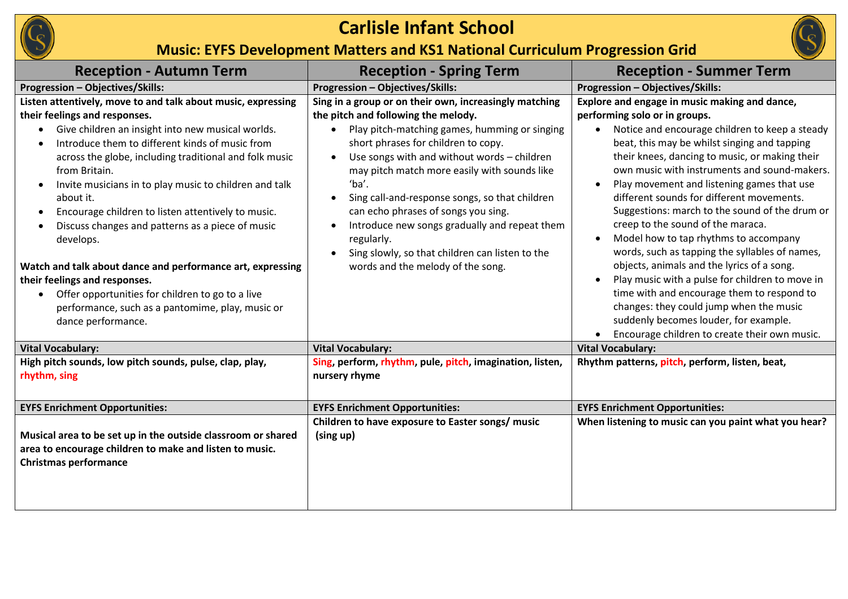

## **Carlisle Infant School**



## **Music: EYFS Development Matters and KS1 National Curriculum Progression Grid**

| <b>Reception - Autumn Term</b>                                                                                                                                                                                                                                                                                                                                                                                                                                                                                                                                                                                                                                                                                                                                               | <b>Reception - Spring Term</b>                                                                                                                                                                                                                                                                                                                                                                                                                                                                                                                                          | <b>Reception - Summer Term</b>                                                                                                                                                                                                                                                                                                                                                                                                                                                                                                                                                                                                                                                                                                                                                                                                                      |
|------------------------------------------------------------------------------------------------------------------------------------------------------------------------------------------------------------------------------------------------------------------------------------------------------------------------------------------------------------------------------------------------------------------------------------------------------------------------------------------------------------------------------------------------------------------------------------------------------------------------------------------------------------------------------------------------------------------------------------------------------------------------------|-------------------------------------------------------------------------------------------------------------------------------------------------------------------------------------------------------------------------------------------------------------------------------------------------------------------------------------------------------------------------------------------------------------------------------------------------------------------------------------------------------------------------------------------------------------------------|-----------------------------------------------------------------------------------------------------------------------------------------------------------------------------------------------------------------------------------------------------------------------------------------------------------------------------------------------------------------------------------------------------------------------------------------------------------------------------------------------------------------------------------------------------------------------------------------------------------------------------------------------------------------------------------------------------------------------------------------------------------------------------------------------------------------------------------------------------|
| <b>Progression - Objectives/Skills:</b>                                                                                                                                                                                                                                                                                                                                                                                                                                                                                                                                                                                                                                                                                                                                      | <b>Progression - Objectives/Skills:</b>                                                                                                                                                                                                                                                                                                                                                                                                                                                                                                                                 | Progression - Objectives/Skills:                                                                                                                                                                                                                                                                                                                                                                                                                                                                                                                                                                                                                                                                                                                                                                                                                    |
| Listen attentively, move to and talk about music, expressing<br>their feelings and responses.<br>Give children an insight into new musical worlds.<br>$\bullet$<br>Introduce them to different kinds of music from<br>$\bullet$<br>across the globe, including traditional and folk music<br>from Britain.<br>Invite musicians in to play music to children and talk<br>$\bullet$<br>about it.<br>Encourage children to listen attentively to music.<br>$\bullet$<br>Discuss changes and patterns as a piece of music<br>develops.<br>Watch and talk about dance and performance art, expressing<br>their feelings and responses.<br>Offer opportunities for children to go to a live<br>$\bullet$<br>performance, such as a pantomime, play, music or<br>dance performance. | Sing in a group or on their own, increasingly matching<br>the pitch and following the melody.<br>Play pitch-matching games, humming or singing<br>short phrases for children to copy.<br>Use songs with and without words - children<br>$\bullet$<br>may pitch match more easily with sounds like<br>'ba'.<br>Sing call-and-response songs, so that children<br>$\bullet$<br>can echo phrases of songs you sing.<br>Introduce new songs gradually and repeat them<br>regularly.<br>Sing slowly, so that children can listen to the<br>words and the melody of the song. | Explore and engage in music making and dance,<br>performing solo or in groups.<br>Notice and encourage children to keep a steady<br>beat, this may be whilst singing and tapping<br>their knees, dancing to music, or making their<br>own music with instruments and sound-makers.<br>Play movement and listening games that use<br>different sounds for different movements.<br>Suggestions: march to the sound of the drum or<br>creep to the sound of the maraca.<br>Model how to tap rhythms to accompany<br>words, such as tapping the syllables of names,<br>objects, animals and the lyrics of a song.<br>Play music with a pulse for children to move in<br>time with and encourage them to respond to<br>changes: they could jump when the music<br>suddenly becomes louder, for example.<br>Encourage children to create their own music. |
| <b>Vital Vocabulary:</b>                                                                                                                                                                                                                                                                                                                                                                                                                                                                                                                                                                                                                                                                                                                                                     | <b>Vital Vocabulary:</b>                                                                                                                                                                                                                                                                                                                                                                                                                                                                                                                                                | <b>Vital Vocabulary:</b>                                                                                                                                                                                                                                                                                                                                                                                                                                                                                                                                                                                                                                                                                                                                                                                                                            |
| High pitch sounds, low pitch sounds, pulse, clap, play,<br>rhythm, sing                                                                                                                                                                                                                                                                                                                                                                                                                                                                                                                                                                                                                                                                                                      | Sing, perform, rhythm, pule, pitch, imagination, listen,<br>nursery rhyme                                                                                                                                                                                                                                                                                                                                                                                                                                                                                               | Rhythm patterns, pitch, perform, listen, beat,                                                                                                                                                                                                                                                                                                                                                                                                                                                                                                                                                                                                                                                                                                                                                                                                      |
| <b>EYFS Enrichment Opportunities:</b>                                                                                                                                                                                                                                                                                                                                                                                                                                                                                                                                                                                                                                                                                                                                        | <b>EYFS Enrichment Opportunities:</b>                                                                                                                                                                                                                                                                                                                                                                                                                                                                                                                                   | <b>EYFS Enrichment Opportunities:</b>                                                                                                                                                                                                                                                                                                                                                                                                                                                                                                                                                                                                                                                                                                                                                                                                               |
| Musical area to be set up in the outside classroom or shared<br>area to encourage children to make and listen to music.<br><b>Christmas performance</b>                                                                                                                                                                                                                                                                                                                                                                                                                                                                                                                                                                                                                      | Children to have exposure to Easter songs/ music<br>(sing up)                                                                                                                                                                                                                                                                                                                                                                                                                                                                                                           | When listening to music can you paint what you hear?                                                                                                                                                                                                                                                                                                                                                                                                                                                                                                                                                                                                                                                                                                                                                                                                |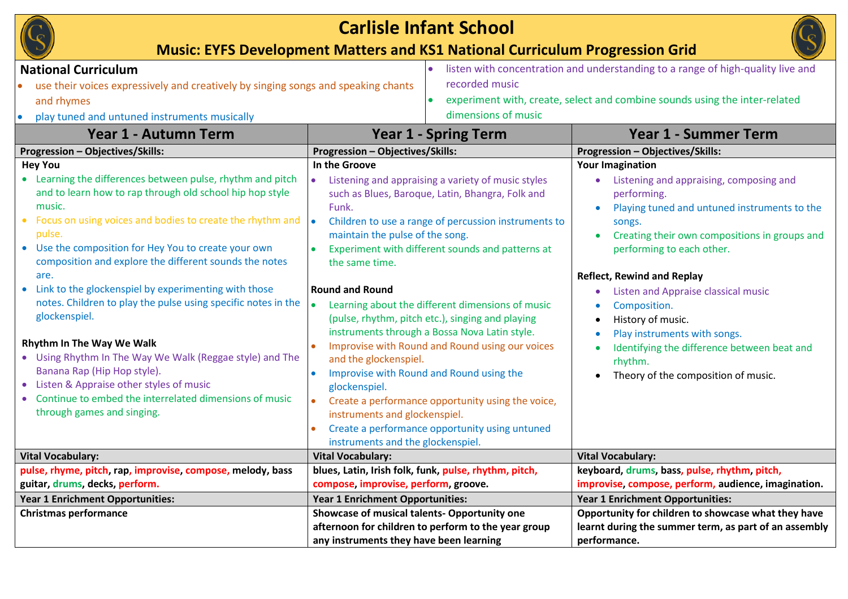| <b>Carlisle Infant School</b><br><b>Music: EYFS Development Matters and KS1 National Curriculum Progression Grid</b>                                                                                                                                                                                                                                                                                                                                                                                                                                                                                                                                                                                                                                                                             |                                                                                                                                                                                                                                                                                                                                                                                                                                                                                                                                                                                                                                                                                                                                                                       |                                                     |                                                                                                                                                                                                                                                                                                                                                                                                                                                                             |  |  |  |
|--------------------------------------------------------------------------------------------------------------------------------------------------------------------------------------------------------------------------------------------------------------------------------------------------------------------------------------------------------------------------------------------------------------------------------------------------------------------------------------------------------------------------------------------------------------------------------------------------------------------------------------------------------------------------------------------------------------------------------------------------------------------------------------------------|-----------------------------------------------------------------------------------------------------------------------------------------------------------------------------------------------------------------------------------------------------------------------------------------------------------------------------------------------------------------------------------------------------------------------------------------------------------------------------------------------------------------------------------------------------------------------------------------------------------------------------------------------------------------------------------------------------------------------------------------------------------------------|-----------------------------------------------------|-----------------------------------------------------------------------------------------------------------------------------------------------------------------------------------------------------------------------------------------------------------------------------------------------------------------------------------------------------------------------------------------------------------------------------------------------------------------------------|--|--|--|
| <b>National Curriculum</b><br>use their voices expressively and creatively by singing songs and speaking chants<br>and rhymes<br>play tuned and untuned instruments musically                                                                                                                                                                                                                                                                                                                                                                                                                                                                                                                                                                                                                    |                                                                                                                                                                                                                                                                                                                                                                                                                                                                                                                                                                                                                                                                                                                                                                       | recorded music<br>dimensions of music               | listen with concentration and understanding to a range of high-quality live and<br>experiment with, create, select and combine sounds using the inter-related                                                                                                                                                                                                                                                                                                               |  |  |  |
| Year 1 - Autumn Term                                                                                                                                                                                                                                                                                                                                                                                                                                                                                                                                                                                                                                                                                                                                                                             | <b>Year 1 - Spring Term</b>                                                                                                                                                                                                                                                                                                                                                                                                                                                                                                                                                                                                                                                                                                                                           |                                                     | <b>Year 1 - Summer Term</b>                                                                                                                                                                                                                                                                                                                                                                                                                                                 |  |  |  |
| <b>Progression - Objectives/Skills:</b>                                                                                                                                                                                                                                                                                                                                                                                                                                                                                                                                                                                                                                                                                                                                                          | <b>Progression - Objectives/Skills:</b>                                                                                                                                                                                                                                                                                                                                                                                                                                                                                                                                                                                                                                                                                                                               |                                                     | Progression - Objectives/Skills:                                                                                                                                                                                                                                                                                                                                                                                                                                            |  |  |  |
| <b>Hey You</b><br>• Learning the differences between pulse, rhythm and pitch<br>and to learn how to rap through old school hip hop style<br>music.<br>Focus on using voices and bodies to create the rhythm and $\bullet$<br>$\bullet$<br>pulse.<br>• Use the composition for Hey You to create your own<br>composition and explore the different sounds the notes<br>are.<br>• Link to the glockenspiel by experimenting with those<br>notes. Children to play the pulse using specific notes in the<br>glockenspiel.<br>Rhythm In The Way We Walk<br>• Using Rhythm In The Way We Walk (Reggae style) and The<br>Banana Rap (Hip Hop style).<br>• Listen & Appraise other styles of music<br>Continue to embed the interrelated dimensions of music<br>$\bullet$<br>through games and singing. | In the Groove<br>Listening and appraising a variety of music styles<br>such as Blues, Baroque, Latin, Bhangra, Folk and<br>Funk.<br>Children to use a range of percussion instruments to<br>maintain the pulse of the song.<br>Experiment with different sounds and patterns at<br>the same time.<br><b>Round and Round</b><br>Learning about the different dimensions of music<br>(pulse, rhythm, pitch etc.), singing and playing<br>instruments through a Bossa Nova Latin style.<br>Improvise with Round and Round using our voices<br>and the glockenspiel.<br>Improvise with Round and Round using the<br>glockenspiel.<br>Create a performance opportunity using the voice,<br>instruments and glockenspiel.<br>Create a performance opportunity using untuned |                                                     | <b>Your Imagination</b><br>Listening and appraising, composing and<br>performing.<br>Playing tuned and untuned instruments to the<br>songs.<br>Creating their own compositions in groups and<br>performing to each other.<br><b>Reflect, Rewind and Replay</b><br>Listen and Appraise classical music<br>Composition.<br>History of music.<br>Play instruments with songs.<br>Identifying the difference between beat and<br>rhythm.<br>Theory of the composition of music. |  |  |  |
| <b>Vital Vocabulary:</b>                                                                                                                                                                                                                                                                                                                                                                                                                                                                                                                                                                                                                                                                                                                                                                         | instruments and the glockenspiel.<br><b>Vital Vocabulary:</b>                                                                                                                                                                                                                                                                                                                                                                                                                                                                                                                                                                                                                                                                                                         |                                                     | <b>Vital Vocabulary:</b>                                                                                                                                                                                                                                                                                                                                                                                                                                                    |  |  |  |
| pulse, rhyme, pitch, rap, improvise, compose, melody, bass<br>guitar, drums, decks, perform.                                                                                                                                                                                                                                                                                                                                                                                                                                                                                                                                                                                                                                                                                                     | blues, Latin, Irish folk, funk, pulse, rhythm, pitch,<br>compose, improvise, perform, groove.                                                                                                                                                                                                                                                                                                                                                                                                                                                                                                                                                                                                                                                                         |                                                     | keyboard, drums, bass, pulse, rhythm, pitch,<br>improvise, compose, perform, audience, imagination.                                                                                                                                                                                                                                                                                                                                                                         |  |  |  |
| Year 1 Enrichment Opportunities:                                                                                                                                                                                                                                                                                                                                                                                                                                                                                                                                                                                                                                                                                                                                                                 | Year 1 Enrichment Opportunities:                                                                                                                                                                                                                                                                                                                                                                                                                                                                                                                                                                                                                                                                                                                                      |                                                     | <b>Year 1 Enrichment Opportunities:</b>                                                                                                                                                                                                                                                                                                                                                                                                                                     |  |  |  |
| <b>Christmas performance</b>                                                                                                                                                                                                                                                                                                                                                                                                                                                                                                                                                                                                                                                                                                                                                                     | Showcase of musical talents- Opportunity one<br>any instruments they have been learning                                                                                                                                                                                                                                                                                                                                                                                                                                                                                                                                                                                                                                                                               | afternoon for children to perform to the year group | Opportunity for children to showcase what they have<br>learnt during the summer term, as part of an assembly<br>performance.                                                                                                                                                                                                                                                                                                                                                |  |  |  |